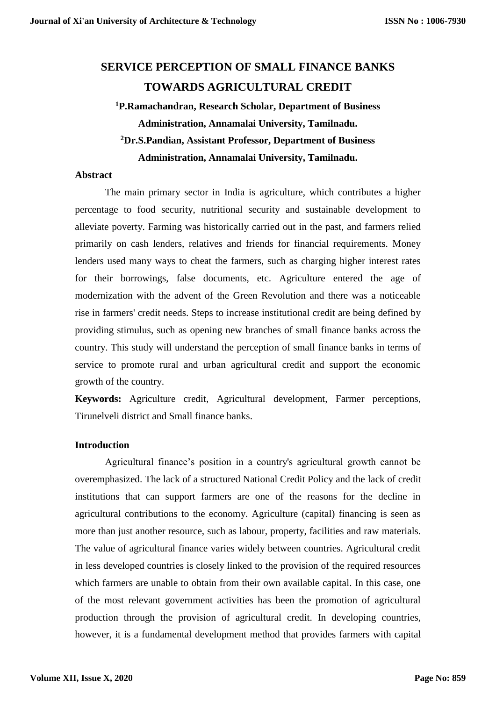# **SERVICE PERCEPTION OF SMALL FINANCE BANKS TOWARDS AGRICULTURAL CREDIT**

## **<sup>1</sup>P.Ramachandran, Research Scholar, Department of Business Administration, Annamalai University, Tamilnadu. <sup>2</sup>Dr.S.Pandian, Assistant Professor, Department of Business Administration, Annamalai University, Tamilnadu.**

#### **Abstract**

The main primary sector in India is agriculture, which contributes a higher percentage to food security, nutritional security and sustainable development to alleviate poverty. Farming was historically carried out in the past, and farmers relied primarily on cash lenders, relatives and friends for financial requirements. Money lenders used many ways to cheat the farmers, such as charging higher interest rates for their borrowings, false documents, etc. Agriculture entered the age of modernization with the advent of the Green Revolution and there was a noticeable rise in farmers' credit needs. Steps to increase institutional credit are being defined by providing stimulus, such as opening new branches of small finance banks across the country. This study will understand the perception of small finance banks in terms of service to promote rural and urban agricultural credit and support the economic growth of the country.

**Keywords:** Agriculture credit, Agricultural development, Farmer perceptions, Tirunelveli district and Small finance banks.

### **Introduction**

Agricultural finance's position in a country's agricultural growth cannot be overemphasized. The lack of a structured National Credit Policy and the lack of credit institutions that can support farmers are one of the reasons for the decline in agricultural contributions to the economy. Agriculture (capital) financing is seen as more than just another resource, such as labour, property, facilities and raw materials. The value of agricultural finance varies widely between countries. Agricultural credit in less developed countries is closely linked to the provision of the required resources which farmers are unable to obtain from their own available capital. In this case, one of the most relevant government activities has been the promotion of agricultural production through the provision of agricultural credit. In developing countries, however, it is a fundamental development method that provides farmers with capital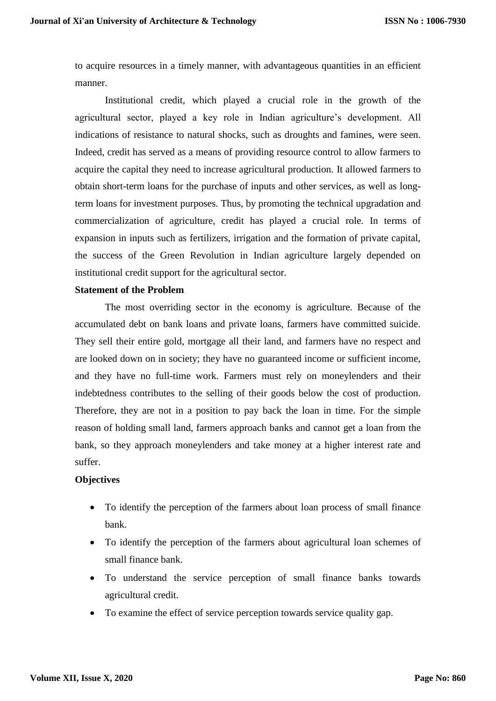to acquire resources in a timely manner, with advantageous quantities in an efficient manner.

Institutional credit, which played a crucial role in the growth of the agricultural sector, played a key role in Indian agriculture's development. All indications of resistance to natural shocks, such as droughts and famines, were seen. Indeed, credit has served as a means of providing resource control to allow farmers to acquire the capital they need to increase agricultural production. It allowed farmers to obtain short-term loans for the purchase of inputs and other services, as well as longterm loans for investment purposes. Thus, by promoting the technical upgradation and commercialization of agriculture, credit has played a crucial role. In terms of expansion in inputs such as fertilizers, irrigation and the formation of private capital, the success of the Green Revolution in Indian agriculture largely depended on institutional credit support for the agricultural sector.

### **Statement of the Problem**

The most overriding sector in the economy is agriculture. Because of the accumulated debt on bank loans and private loans, farmers have committed suicide. They sell their entire gold, mortgage all their land, and farmers have no respect and are looked down on in society; they have no guaranteed income or sufficient income, and they have no full-time work. Farmers must rely on moneylenders and their indebtedness contributes to the selling of their goods below the cost of production. Therefore, they are not in a position to pay back the loan in time. For the simple reason of holding small land, farmers approach banks and cannot get a loan from the bank, so they approach moneylenders and take money at a higher interest rate and suffer.

### **Objectives**

- To identify the perception of the farmers about loan process of small finance bank.
- To identify the perception of the farmers about agricultural loan schemes of small finance bank.
- To understand the service perception of small finance banks towards agricultural credit.
- To examine the effect of service perception towards service quality gap.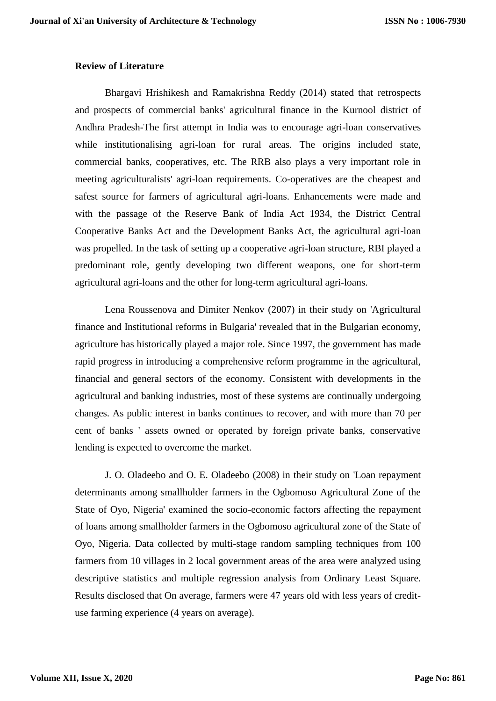#### **Review of Literature**

Bhargavi Hrishikesh and Ramakrishna Reddy (2014) stated that retrospects and prospects of commercial banks' agricultural finance in the Kurnool district of Andhra Pradesh-The first attempt in India was to encourage agri-loan conservatives while institutionalising agri-loan for rural areas. The origins included state, commercial banks, cooperatives, etc. The RRB also plays a very important role in meeting agriculturalists' agri-loan requirements. Co-operatives are the cheapest and safest source for farmers of agricultural agri-loans. Enhancements were made and with the passage of the Reserve Bank of India Act 1934, the District Central Cooperative Banks Act and the Development Banks Act, the agricultural agri-loan was propelled. In the task of setting up a cooperative agri-loan structure, RBI played a predominant role, gently developing two different weapons, one for short-term agricultural agri-loans and the other for long-term agricultural agri-loans.

Lena Roussenova and Dimiter Nenkov (2007) in their study on 'Agricultural finance and Institutional reforms in Bulgaria' revealed that in the Bulgarian economy, agriculture has historically played a major role. Since 1997, the government has made rapid progress in introducing a comprehensive reform programme in the agricultural, financial and general sectors of the economy. Consistent with developments in the agricultural and banking industries, most of these systems are continually undergoing changes. As public interest in banks continues to recover, and with more than 70 per cent of banks ' assets owned or operated by foreign private banks, conservative lending is expected to overcome the market.

J. O. Oladeebo and O. E. Oladeebo (2008) in their study on 'Loan repayment determinants among smallholder farmers in the Ogbomoso Agricultural Zone of the State of Oyo, Nigeria' examined the socio-economic factors affecting the repayment of loans among smallholder farmers in the Ogbomoso agricultural zone of the State of Oyo, Nigeria. Data collected by multi-stage random sampling techniques from 100 farmers from 10 villages in 2 local government areas of the area were analyzed using descriptive statistics and multiple regression analysis from Ordinary Least Square. Results disclosed that On average, farmers were 47 years old with less years of credituse farming experience (4 years on average).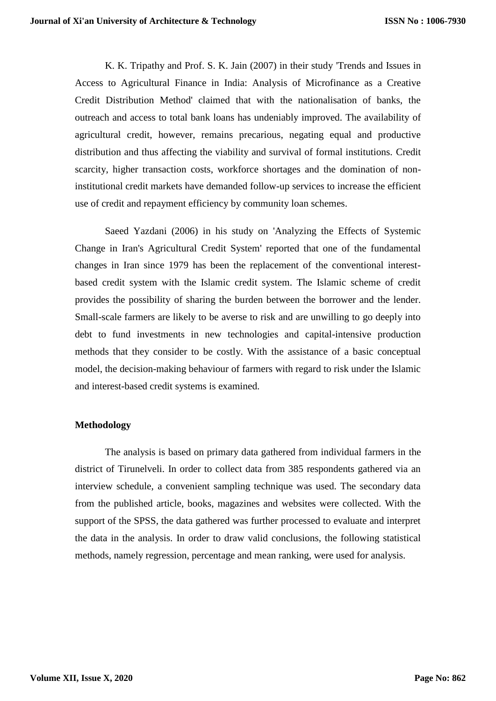K. K. Tripathy and Prof. S. K. Jain (2007) in their study 'Trends and Issues in Access to Agricultural Finance in India: Analysis of Microfinance as a Creative Credit Distribution Method' claimed that with the nationalisation of banks, the outreach and access to total bank loans has undeniably improved. The availability of agricultural credit, however, remains precarious, negating equal and productive distribution and thus affecting the viability and survival of formal institutions. Credit scarcity, higher transaction costs, workforce shortages and the domination of noninstitutional credit markets have demanded follow-up services to increase the efficient use of credit and repayment efficiency by community loan schemes.

Saeed Yazdani (2006) in his study on 'Analyzing the Effects of Systemic Change in Iran's Agricultural Credit System' reported that one of the fundamental changes in Iran since 1979 has been the replacement of the conventional interestbased credit system with the Islamic credit system. The Islamic scheme of credit provides the possibility of sharing the burden between the borrower and the lender. Small-scale farmers are likely to be averse to risk and are unwilling to go deeply into debt to fund investments in new technologies and capital-intensive production methods that they consider to be costly. With the assistance of a basic conceptual model, the decision-making behaviour of farmers with regard to risk under the Islamic and interest-based credit systems is examined.

#### **Methodology**

The analysis is based on primary data gathered from individual farmers in the district of Tirunelveli. In order to collect data from 385 respondents gathered via an interview schedule, a convenient sampling technique was used. The secondary data from the published article, books, magazines and websites were collected. With the support of the SPSS, the data gathered was further processed to evaluate and interpret the data in the analysis. In order to draw valid conclusions, the following statistical methods, namely regression, percentage and mean ranking, were used for analysis.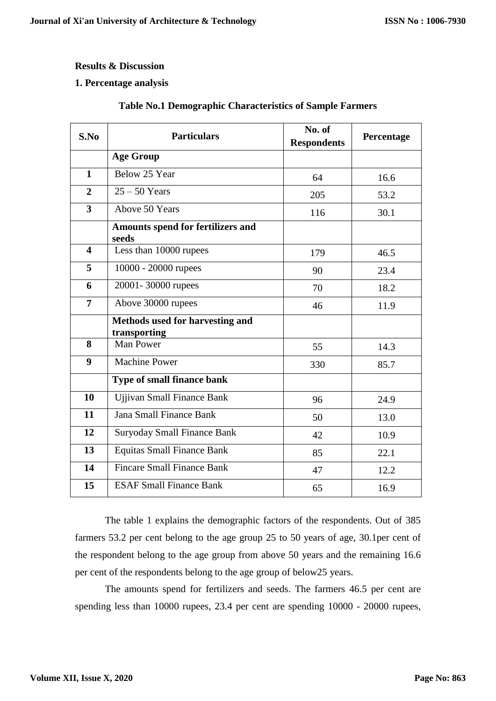### **Results & Discussion**

## **1. Percentage analysis**

| S.No                    | <b>Particulars</b>                                     | No. of<br><b>Respondents</b> | Percentage |
|-------------------------|--------------------------------------------------------|------------------------------|------------|
|                         | <b>Age Group</b>                                       |                              |            |
| $\mathbf{1}$            | Below 25 Year                                          | 64                           | 16.6       |
| $\overline{2}$          | $25 - 50$ Years                                        | 205                          | 53.2       |
| $\overline{\mathbf{3}}$ | Above 50 Years                                         | 116                          | 30.1       |
|                         | <b>Amounts spend for fertilizers and</b><br>seeds      |                              |            |
| $\blacktriangleleft$    | Less than 10000 rupees                                 | 179                          | 46.5       |
| 5                       | 10000 - 20000 rupees                                   | 90                           | 23.4       |
| 6                       | 20001-30000 rupees                                     | 70                           | 18.2       |
| $\overline{7}$          | Above 30000 rupees                                     | 46                           | 11.9       |
|                         | <b>Methods used for harvesting and</b><br>transporting |                              |            |
| 8                       | <b>Man Power</b>                                       | 55                           | 14.3       |
| 9                       | <b>Machine Power</b>                                   | 330                          | 85.7       |
|                         | Type of small finance bank                             |                              |            |
| 10                      | <b>Ujjivan Small Finance Bank</b>                      | 96                           | 24.9       |
| 11                      | <b>Jana Small Finance Bank</b>                         | 50                           | 13.0       |
| 12                      | <b>Suryoday Small Finance Bank</b>                     | 42                           | 10.9       |
| 13                      | <b>Equitas Small Finance Bank</b>                      | 85                           | 22.1       |
| 14                      | <b>Fincare Small Finance Bank</b>                      | 47                           | 12.2       |
| 15                      | <b>ESAF Small Finance Bank</b>                         | 65                           | 16.9       |

## **Table No.1 Demographic Characteristics of Sample Farmers**

The table 1 explains the demographic factors of the respondents. Out of 385 farmers 53.2 per cent belong to the age group 25 to 50 years of age, 30.1per cent of the respondent belong to the age group from above 50 years and the remaining 16.6 per cent of the respondents belong to the age group of below25 years.

The amounts spend for fertilizers and seeds. The farmers 46.5 per cent are spending less than 10000 rupees, 23.4 per cent are spending 10000 - 20000 rupees,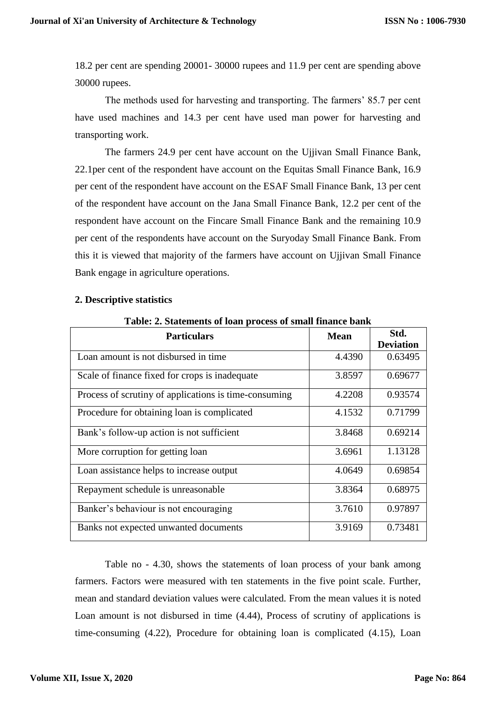18.2 per cent are spending 20001- 30000 rupees and 11.9 per cent are spending above 30000 rupees.

The methods used for harvesting and transporting. The farmers' 85.7 per cent have used machines and 14.3 per cent have used man power for harvesting and transporting work.

The farmers 24.9 per cent have account on the Ujjivan Small Finance Bank, 22.1per cent of the respondent have account on the Equitas Small Finance Bank, 16.9 per cent of the respondent have account on the ESAF Small Finance Bank, 13 per cent of the respondent have account on the Jana Small Finance Bank, 12.2 per cent of the respondent have account on the Fincare Small Finance Bank and the remaining 10.9 per cent of the respondents have account on the Suryoday Small Finance Bank. From this it is viewed that majority of the farmers have account on Ujjivan Small Finance Bank engage in agriculture operations.

| <b>Table: 2. Statements of loan process of small finance bank</b> |             |                          |
|-------------------------------------------------------------------|-------------|--------------------------|
| <b>Particulars</b>                                                | <b>Mean</b> | Std.<br><b>Deviation</b> |
| Loan amount is not disbursed in time                              | 4.4390      | 0.63495                  |
| Scale of finance fixed for crops is inadequate                    | 3.8597      | 0.69677                  |
| Process of scrutiny of applications is time-consuming             | 4.2208      | 0.93574                  |
| Procedure for obtaining loan is complicated                       | 4.1532      | 0.71799                  |
| Bank's follow-up action is not sufficient                         | 3.8468      | 0.69214                  |
| More corruption for getting loan                                  | 3.6961      | 1.13128                  |
| Loan assistance helps to increase output                          | 4.0649      | 0.69854                  |
| Repayment schedule is unreasonable                                | 3.8364      | 0.68975                  |
| Banker's behaviour is not encouraging                             | 3.7610      | 0.97897                  |
| Banks not expected unwanted documents                             | 3.9169      | 0.73481                  |

#### **2. Descriptive statistics**

**Table: 2. Statements of loan process of small finance bank**

Table no - 4.30, shows the statements of loan process of your bank among farmers. Factors were measured with ten statements in the five point scale. Further, mean and standard deviation values were calculated. From the mean values it is noted Loan amount is not disbursed in time (4.44), Process of scrutiny of applications is time-consuming (4.22), Procedure for obtaining loan is complicated (4.15), Loan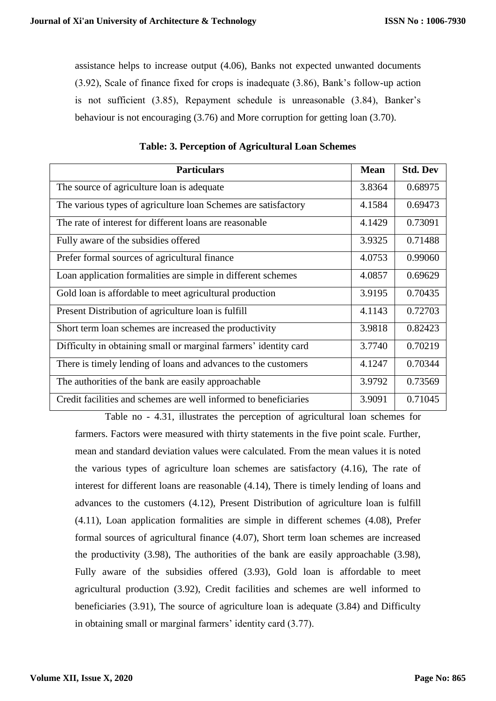assistance helps to increase output (4.06), Banks not expected unwanted documents (3.92), Scale of finance fixed for crops is inadequate (3.86), Bank's follow-up action is not sufficient (3.85), Repayment schedule is unreasonable (3.84), Banker's behaviour is not encouraging (3.76) and More corruption for getting loan (3.70).

| <b>Particulars</b>                                               | <b>Mean</b> | <b>Std. Dev</b> |
|------------------------------------------------------------------|-------------|-----------------|
| The source of agriculture loan is adequate                       | 3.8364      | 0.68975         |
| The various types of agriculture loan Schemes are satisfactory   | 4.1584      | 0.69473         |
| The rate of interest for different loans are reasonable          | 4.1429      | 0.73091         |
| Fully aware of the subsidies offered                             | 3.9325      | 0.71488         |
| Prefer formal sources of agricultural finance                    | 4.0753      | 0.99060         |
| Loan application formalities are simple in different schemes     | 4.0857      | 0.69629         |
| Gold loan is affordable to meet agricultural production          | 3.9195      | 0.70435         |
| Present Distribution of agriculture loan is fulfill              | 4.1143      | 0.72703         |
| Short term loan schemes are increased the productivity           | 3.9818      | 0.82423         |
| Difficulty in obtaining small or marginal farmers' identity card | 3.7740      | 0.70219         |
| There is timely lending of loans and advances to the customers   | 4.1247      | 0.70344         |
| The authorities of the bank are easily approachable              | 3.9792      | 0.73569         |
| Credit facilities and schemes are well informed to beneficiaries | 3.9091      | 0.71045         |

**Table: 3. Perception of Agricultural Loan Schemes**

Table no - 4.31, illustrates the perception of agricultural loan schemes for farmers. Factors were measured with thirty statements in the five point scale. Further, mean and standard deviation values were calculated. From the mean values it is noted the various types of agriculture loan schemes are satisfactory (4.16), The rate of interest for different loans are reasonable (4.14), There is timely lending of loans and advances to the customers (4.12), Present Distribution of agriculture loan is fulfill (4.11), Loan application formalities are simple in different schemes (4.08), Prefer formal sources of agricultural finance (4.07), Short term loan schemes are increased the productivity (3.98), The authorities of the bank are easily approachable (3.98), Fully aware of the subsidies offered (3.93), Gold loan is affordable to meet agricultural production (3.92), Credit facilities and schemes are well informed to beneficiaries (3.91), The source of agriculture loan is adequate (3.84) and Difficulty in obtaining small or marginal farmers' identity card (3.77).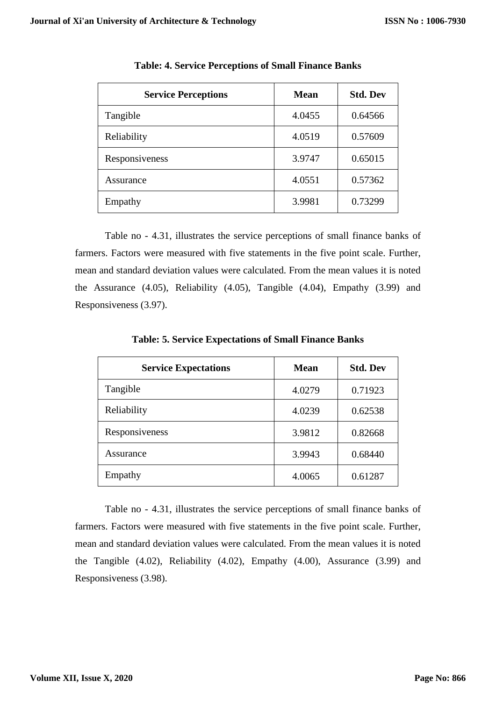| <b>Service Perceptions</b> | <b>Mean</b> | <b>Std. Dev</b> |
|----------------------------|-------------|-----------------|
| Tangible                   | 4.0455      | 0.64566         |
| Reliability                | 4.0519      | 0.57609         |
| Responsiveness             | 3.9747      | 0.65015         |
| Assurance                  | 4.0551      | 0.57362         |
| Empathy                    | 3.9981      | 0.73299         |

**Table: 4. Service Perceptions of Small Finance Banks**

Table no - 4.31, illustrates the service perceptions of small finance banks of farmers. Factors were measured with five statements in the five point scale. Further, mean and standard deviation values were calculated. From the mean values it is noted the Assurance (4.05), Reliability (4.05), Tangible (4.04), Empathy (3.99) and Responsiveness (3.97).

| <b>Service Expectations</b> | <b>Mean</b> | <b>Std. Dev</b> |
|-----------------------------|-------------|-----------------|
| Tangible                    | 4.0279      | 0.71923         |
| Reliability                 | 4.0239      | 0.62538         |
| Responsiveness              | 3.9812      | 0.82668         |
| Assurance                   | 3.9943      | 0.68440         |
| Empathy                     | 4.0065      | 0.61287         |

**Table: 5. Service Expectations of Small Finance Banks**

Table no - 4.31, illustrates the service perceptions of small finance banks of farmers. Factors were measured with five statements in the five point scale. Further, mean and standard deviation values were calculated. From the mean values it is noted the Tangible (4.02), Reliability (4.02), Empathy (4.00), Assurance (3.99) and Responsiveness (3.98).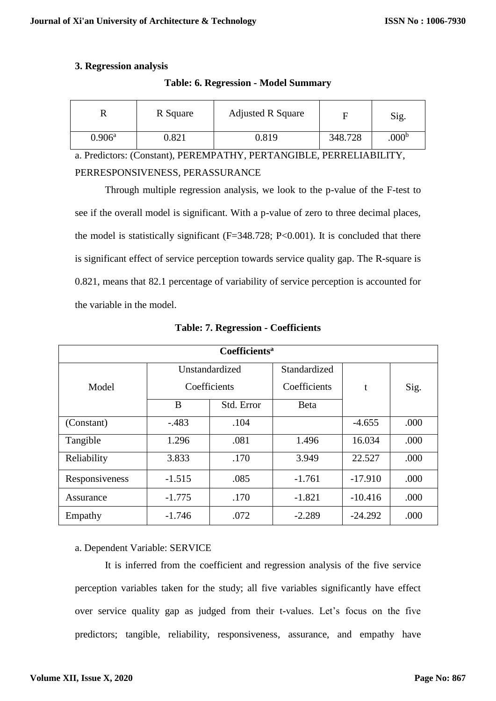## **3. Regression analysis**

| 17              | R Square | <b>Adjusted R Square</b> |         | Sig.              |
|-----------------|----------|--------------------------|---------|-------------------|
| $0.906^{\rm a}$ | 0.821    | 0.819                    | 348.728 | .000 <sup>b</sup> |

#### **Table: 6. Regression - Model Summary**

a. Predictors: (Constant), PEREMPATHY, PERTANGIBLE, PERRELIABILITY, PERRESPONSIVENESS, PERASSURANCE

Through multiple regression analysis, we look to the p-value of the F-test to see if the overall model is significant. With a p-value of zero to three decimal places, the model is statistically significant  $(F=348.728; P<0.001)$ . It is concluded that there is significant effect of service perception towards service quality gap. The R-square is 0.821, means that 82.1 percentage of variability of service perception is accounted for the variable in the model.

| Coefficients <sup>a</sup> |                |            |              |           |      |
|---------------------------|----------------|------------|--------------|-----------|------|
|                           | Unstandardized |            | Standardized |           |      |
| Model                     | Coefficients   |            | Coefficients | t         | Sig. |
|                           | B              | Std. Error | <b>B</b> eta |           |      |
| (Constant)                | $-483$         | .104       |              | $-4.655$  | .000 |
| Tangible                  | 1.296          | .081       | 1.496        | 16.034    | .000 |
| Reliability               | 3.833          | .170       | 3.949        | 22.527    | .000 |
| Responsiveness            | $-1.515$       | .085       | $-1.761$     | $-17.910$ | .000 |
| Assurance                 | $-1.775$       | .170       | $-1.821$     | $-10.416$ | .000 |
| Empathy                   | $-1.746$       | .072       | $-2.289$     | $-24.292$ | .000 |

**Table: 7. Regression - Coefficients**

## a. Dependent Variable: SERVICE

It is inferred from the coefficient and regression analysis of the five service perception variables taken for the study; all five variables significantly have effect over service quality gap as judged from their t-values. Let's focus on the five predictors; tangible, reliability, responsiveness, assurance, and empathy have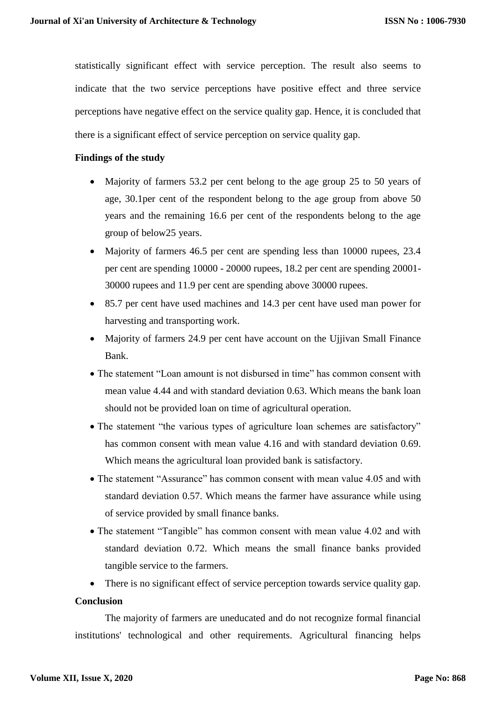statistically significant effect with service perception. The result also seems to indicate that the two service perceptions have positive effect and three service perceptions have negative effect on the service quality gap. Hence, it is concluded that there is a significant effect of service perception on service quality gap.

### **Findings of the study**

- Majority of farmers 53.2 per cent belong to the age group 25 to 50 years of age, 30.1per cent of the respondent belong to the age group from above 50 years and the remaining 16.6 per cent of the respondents belong to the age group of below25 years.
- Majority of farmers 46.5 per cent are spending less than 10000 rupees, 23.4 per cent are spending 10000 - 20000 rupees, 18.2 per cent are spending 20001- 30000 rupees and 11.9 per cent are spending above 30000 rupees.
- 85.7 per cent have used machines and 14.3 per cent have used man power for harvesting and transporting work.
- Majority of farmers 24.9 per cent have account on the Ujjivan Small Finance Bank.
- The statement "Loan amount is not disbursed in time" has common consent with mean value 4.44 and with standard deviation 0.63. Which means the bank loan should not be provided loan on time of agricultural operation.
- The statement "the various types of agriculture loan schemes are satisfactory" has common consent with mean value 4.16 and with standard deviation 0.69. Which means the agricultural loan provided bank is satisfactory.
- The statement "Assurance" has common consent with mean value 4.05 and with standard deviation 0.57. Which means the farmer have assurance while using of service provided by small finance banks.
- The statement "Tangible" has common consent with mean value 4.02 and with standard deviation 0.72. Which means the small finance banks provided tangible service to the farmers.
- There is no significant effect of service perception towards service quality gap.

#### **Conclusion**

The majority of farmers are uneducated and do not recognize formal financial institutions' technological and other requirements. Agricultural financing helps